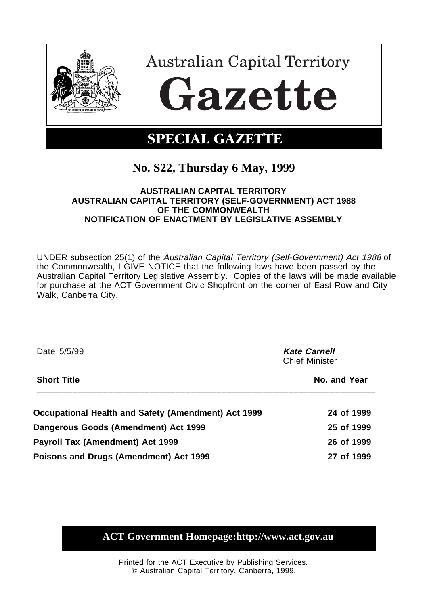

## **No. S22, Thursday 6 May, 1999**

## **AUSTRALIAN CAPITAL TERRITORY AUSTRALIAN CAPITAL TERRITORY (SELF-GOVERNMENT) ACT 1988 OF THE COMMONWEALTH NOTIFICATION OF ENACTMENT BY LEGISLATIVE ASSEMBLY**

UNDER subsection 25(1) of the Australian Capital Territory (Self-Government) Act 1988 of the Commonwealth, I GIVE NOTICE that the following laws have been passed by the Australian Capital Territory Legislative Assembly. Copies of the laws will be made available for purchase at the ACT Government Civic Shopfront on the corner of East Row and City Walk, Canberra City.

| Date 5/5/99                                         | <b>Kate Carnell</b><br><b>Chief Minister</b> |  |
|-----------------------------------------------------|----------------------------------------------|--|
| <b>Short Title</b>                                  | No. and Year                                 |  |
| Occupational Health and Safety (Amendment) Act 1999 | 24 of 1999                                   |  |
| Dangerous Goods (Amendment) Act 1999                | 25 of 1999                                   |  |
| Payroll Tax (Amendment) Act 1999                    | 26 of 1999                                   |  |
| Poisons and Drugs (Amendment) Act 1999              | 27 of 1999                                   |  |

**ACT Government Homepage:http://www.act.gov.au**

Printed for the ACT Executive by Publishing Services. © Australian Capital Territory, Canberra, 1999.